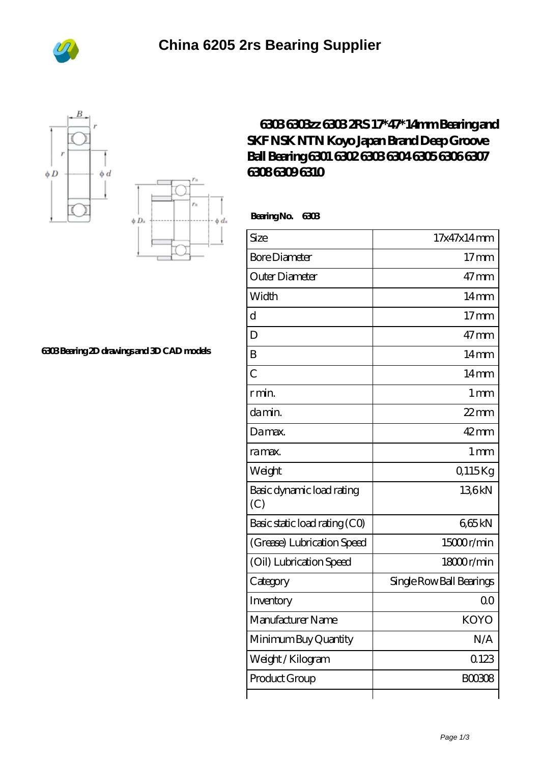





## **[6303 Bearing 2D drawings and 3D CAD models](https://m.bi-countytransitway.com/pic-821264.html)**

## **[6303 6303zz 6303 2RS 17\\*47\\*14mm Bearing and](https://m.bi-countytransitway.com/nsk-6302-bearing/koyo-6303.html) [SKF NSK NTN Koyo Japan Brand Deep Groove](https://m.bi-countytransitway.com/nsk-6302-bearing/koyo-6303.html) [Ball Bearing 6301 6302 6303 6304 6305 6306 6307](https://m.bi-countytransitway.com/nsk-6302-bearing/koyo-6303.html) [6308 6309 6310](https://m.bi-countytransitway.com/nsk-6302-bearing/koyo-6303.html)**

 **Bearing No. 6303**

| Size                             | 17x47x14mm               |
|----------------------------------|--------------------------|
| <b>Bore Diameter</b>             | 17 <sub>mm</sub>         |
| Outer Diameter                   | $47 \text{mm}$           |
| Width                            | 14 <sub>mm</sub>         |
| $\overline{\rm d}$               | 17 <sub>mm</sub>         |
| D                                | $47 \text{mm}$           |
| B                                | $14 \text{mm}$           |
| $\overline{C}$                   | 14 <sub>mm</sub>         |
| r min.                           | 1 <sub>mm</sub>          |
| da min.                          | $22$ mm                  |
| Damax.                           | $42 \text{mm}$           |
| ra max.                          | 1 <sub>mm</sub>          |
| Weight                           | Q115Kg                   |
| Basic dynamic load rating<br>(C) | 136kN                    |
| Basic static load rating (CO)    | 665kN                    |
| (Grease) Lubrication Speed       | 15000r/min               |
| (Oil) Lubrication Speed          | 18000r/min               |
| Category                         | Single Row Ball Bearings |
| Inventory                        | 0 <sup>0</sup>           |
| Manufacturer Name                | <b>KOYO</b>              |
| Minimum Buy Quantity             | N/A                      |
| Weight/Kilogram                  | 0123                     |
| Product Group                    | <b>BOO308</b>            |
|                                  |                          |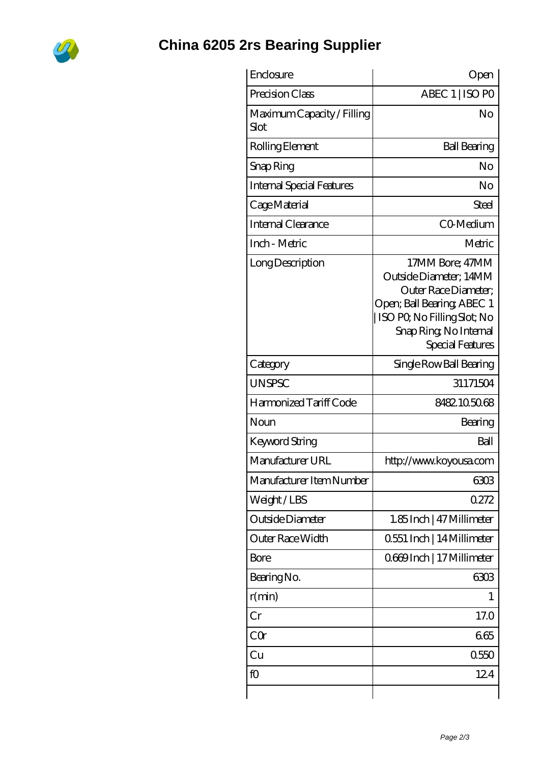

## **[China 6205 2rs Bearing Supplier](https://m.bi-countytransitway.com)**

| Enclosure                          | Open                                                                                                                                                                         |
|------------------------------------|------------------------------------------------------------------------------------------------------------------------------------------------------------------------------|
| Precision Class                    | ABEC 1   ISO PO                                                                                                                                                              |
| Maximum Capacity / Filling<br>Slot | No                                                                                                                                                                           |
| Rolling Element                    | <b>Ball Bearing</b>                                                                                                                                                          |
| Snap Ring                          | No                                                                                                                                                                           |
| <b>Internal Special Features</b>   | No                                                                                                                                                                           |
| Cage Material                      | Steel                                                                                                                                                                        |
| Internal Clearance                 | CO-Medium                                                                                                                                                                    |
| Inch - Metric                      | Metric                                                                                                                                                                       |
| Long Description                   | 17MM Bore; 47MM<br>Outside Diameter; 14MM<br>Outer Race Diameter:<br>Open; Ball Bearing; ABEC 1<br>ISO PO, No Filling Slot; No<br>Snap Ring, No Internal<br>Special Features |
| Category                           | Single Row Ball Bearing                                                                                                                                                      |
| <b>UNSPSC</b>                      | 31171504                                                                                                                                                                     |
| Harmonized Tariff Code             | 8482105068                                                                                                                                                                   |
| Noun                               | Bearing                                                                                                                                                                      |
| <b>Keyword String</b>              | Ball                                                                                                                                                                         |
| Manufacturer URL                   | http://www.koyousa.com                                                                                                                                                       |
| Manufacturer Item Number           | 6303                                                                                                                                                                         |
| Weight/LBS                         | 0272                                                                                                                                                                         |
| Outside Diameter                   | 1.85 Inch   47 Millimeter                                                                                                                                                    |
| Outer Race Width                   | 0.551 Inch   14 Millimeter                                                                                                                                                   |
| Bore                               | 0669Inch   17 Millimeter                                                                                                                                                     |
| Bearing No.                        | 6303                                                                                                                                                                         |
| r(min)                             | 1                                                                                                                                                                            |
| $\operatorname{Cr}$                | 17.0                                                                                                                                                                         |
| CQr                                | 665                                                                                                                                                                          |
| Cu                                 | 0550                                                                                                                                                                         |
| fO                                 | 124                                                                                                                                                                          |
|                                    |                                                                                                                                                                              |